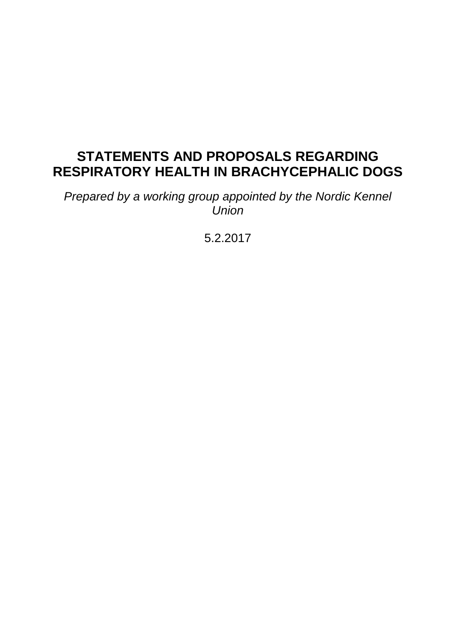# **STATEMENTS AND PROPOSALS REGARDING RESPIRATORY HEALTH IN BRACHYCEPHALIC DOGS**

*Prepared by a working group appointed by the Nordic Kennel Union*

5.2.2017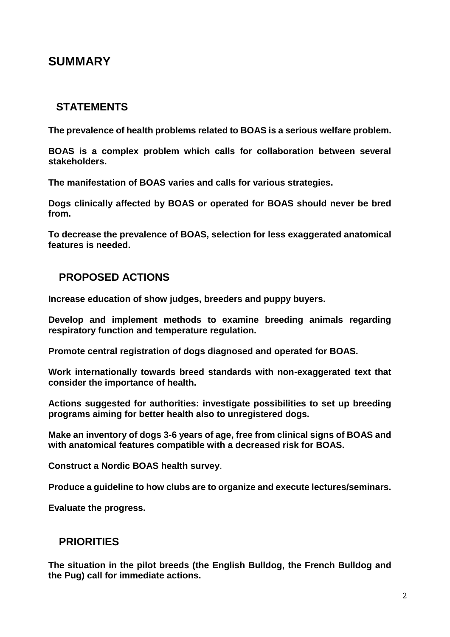## **SUMMARY**

### **STATEMENTS**

**The prevalence of health problems related to BOAS is a serious welfare problem.**

**BOAS is a complex problem which calls for collaboration between several stakeholders.**

**The manifestation of BOAS varies and calls for various strategies.**

**Dogs clinically affected by BOAS or operated for BOAS should never be bred from.**

**To decrease the prevalence of BOAS, selection for less exaggerated anatomical features is needed.**

## **PROPOSED ACTIONS**

**Increase education of show judges, breeders and puppy buyers.**

**Develop and implement methods to examine breeding animals regarding respiratory function and temperature regulation.**

**Promote central registration of dogs diagnosed and operated for BOAS.**

**Work internationally towards breed standards with non-exaggerated text that consider the importance of health.**

**Actions suggested for authorities: investigate possibilities to set up breeding programs aiming for better health also to unregistered dogs.**

**Make an inventory of dogs 3-6 years of age, free from clinical signs of BOAS and with anatomical features compatible with a decreased risk for BOAS.** 

**Construct a Nordic BOAS health survey**.

**Produce a guideline to how clubs are to organize and execute lectures/seminars.**

**Evaluate the progress.**

#### **PRIORITIES**

**The situation in the pilot breeds (the English Bulldog, the French Bulldog and the Pug) call for immediate actions.**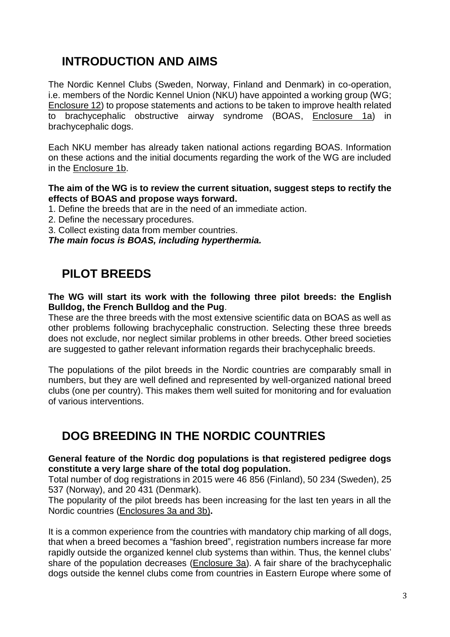# **INTRODUCTION AND AIMS**

The Nordic Kennel Clubs (Sweden, Norway, Finland and Denmark) in co-operation, i.e. members of the Nordic Kennel Union (NKU) have appointed a working group (WG; Enclosure 12) to propose statements and actions to be taken to improve health related to brachycephalic obstructive airway syndrome (BOAS, Enclosure 1a) in brachycephalic dogs.

Each NKU member has already taken national actions regarding BOAS. Information on these actions and the initial documents regarding the work of the WG are included in the Enclosure 1b.

#### **The aim of the WG is to review the current situation, suggest steps to rectify the effects of BOAS and propose ways forward.**

- 1. Define the breeds that are in the need of an immediate action.
- 2. Define the necessary procedures.
- 3. Collect existing data from member countries.

*The main focus is BOAS, including hyperthermia.*

## **PILOT BREEDS**

**The WG will start its work with the following three pilot breeds: the English Bulldog, the French Bulldog and the Pug**.

These are the three breeds with the most extensive scientific data on BOAS as well as other problems following brachycephalic construction. Selecting these three breeds does not exclude, nor neglect similar problems in other breeds. Other breed societies are suggested to gather relevant information regards their brachycephalic breeds.

The populations of the pilot breeds in the Nordic countries are comparably small in numbers, but they are well defined and represented by well-organized national breed clubs (one per country). This makes them well suited for monitoring and for evaluation of various interventions.

# **DOG BREEDING IN THE NORDIC COUNTRIES**

#### **General feature of the Nordic dog populations is that registered pedigree dogs constitute a very large share of the total dog population.**

Total number of dog registrations in 2015 were 46 856 (Finland), 50 234 (Sweden), 25 537 (Norway), and 20 431 (Denmark).

The popularity of the pilot breeds has been increasing for the last ten years in all the Nordic countries (Enclosures 3a and 3b)**.**

It is a common experience from the countries with mandatory chip marking of all dogs, that when a breed becomes a "fashion breed", registration numbers increase far more rapidly outside the organized kennel club systems than within. Thus, the kennel clubs' share of the population decreases (Enclosure 3a). A fair share of the brachycephalic dogs outside the kennel clubs come from countries in Eastern Europe where some of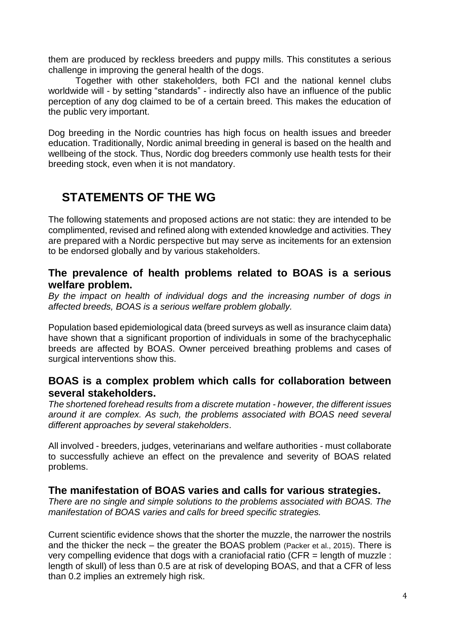them are produced by reckless breeders and puppy mills. This constitutes a serious challenge in improving the general health of the dogs.

Together with other stakeholders, both FCI and the national kennel clubs worldwide will - by setting "standards" - indirectly also have an influence of the public perception of any dog claimed to be of a certain breed. This makes the education of the public very important.

Dog breeding in the Nordic countries has high focus on health issues and breeder education. Traditionally, Nordic animal breeding in general is based on the health and wellbeing of the stock. Thus, Nordic dog breeders commonly use health tests for their breeding stock, even when it is not mandatory.

# **STATEMENTS OF THE WG**

The following statements and proposed actions are not static: they are intended to be complimented, revised and refined along with extended knowledge and activities. They are prepared with a Nordic perspective but may serve as incitements for an extension to be endorsed globally and by various stakeholders.

### **The prevalence of health problems related to BOAS is a serious welfare problem.**

*By the impact on health of individual dogs and the increasing number of dogs in affected breeds, BOAS is a serious welfare problem globally.*

Population based epidemiological data (breed surveys as well as insurance claim data) have shown that a significant proportion of individuals in some of the brachycephalic breeds are affected by BOAS. Owner perceived breathing problems and cases of surgical interventions show this.

## **BOAS is a complex problem which calls for collaboration between several stakeholders.**

*The shortened forehead results from a discrete mutation - however, the different issues around it are complex. As such, the problems associated with BOAS need several different approaches by several stakeholders*.

All involved - breeders, judges, veterinarians and welfare authorities - must collaborate to successfully achieve an effect on the prevalence and severity of BOAS related problems.

## **The manifestation of BOAS varies and calls for various strategies.**

*There are no single and simple solutions to the problems associated with BOAS. The manifestation of BOAS varies and calls for breed specific strategies.*

Current scientific evidence shows that the shorter the muzzle, the narrower the nostrils and the thicker the neck – the greater the BOAS problem (Packer et al., 2015). There is very compelling evidence that dogs with a craniofacial ratio (CFR = length of muzzle : length of skull) of less than 0.5 are at risk of developing BOAS, and that a CFR of less than 0.2 implies an extremely high risk.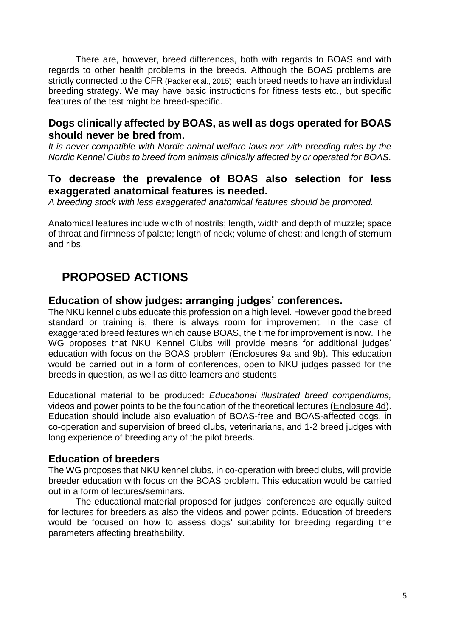There are, however, breed differences, both with regards to BOAS and with regards to other health problems in the breeds. Although the BOAS problems are strictly connected to the CFR (Packer et al., 2015), each breed needs to have an individual breeding strategy. We may have basic instructions for fitness tests etc., but specific features of the test might be breed-specific.

## **Dogs clinically affected by BOAS, as well as dogs operated for BOAS should never be bred from.**

*It is never compatible with Nordic animal welfare laws nor with breeding rules by the Nordic Kennel Clubs to breed from animals clinically affected by or operated for BOAS.*

## **To decrease the prevalence of BOAS also selection for less exaggerated anatomical features is needed.**

*A breeding stock with less exaggerated anatomical features should be promoted.* 

Anatomical features include width of nostrils; length, width and depth of muzzle; space of throat and firmness of palate; length of neck; volume of chest; and length of sternum and ribs.

# **PROPOSED ACTIONS**

#### **Education of show judges: arranging judges' conferences.**

The NKU kennel clubs educate this profession on a high level. However good the breed standard or training is, there is always room for improvement. In the case of exaggerated breed features which cause BOAS, the time for improvement is now. The WG proposes that NKU Kennel Clubs will provide means for additional judges' education with focus on the BOAS problem (Enclosures 9a and 9b). This education would be carried out in a form of conferences, open to NKU judges passed for the breeds in question, as well as ditto learners and students.

Educational material to be produced: *Educational illustrated breed compendiums,*  videos and power points to be the foundation of the theoretical lectures (Enclosure 4d). Education should include also evaluation of BOAS-free and BOAS-affected dogs, in co-operation and supervision of breed clubs, veterinarians, and 1-2 breed judges with long experience of breeding any of the pilot breeds.

## **Education of breeders**

The WG proposes that NKU kennel clubs, in co-operation with breed clubs, will provide breeder education with focus on the BOAS problem. This education would be carried out in a form of lectures/seminars.

The educational material proposed for judges' conferences are equally suited for lectures for breeders as also the videos and power points. Education of breeders would be focused on how to assess dogs' suitability for breeding regarding the parameters affecting breathability.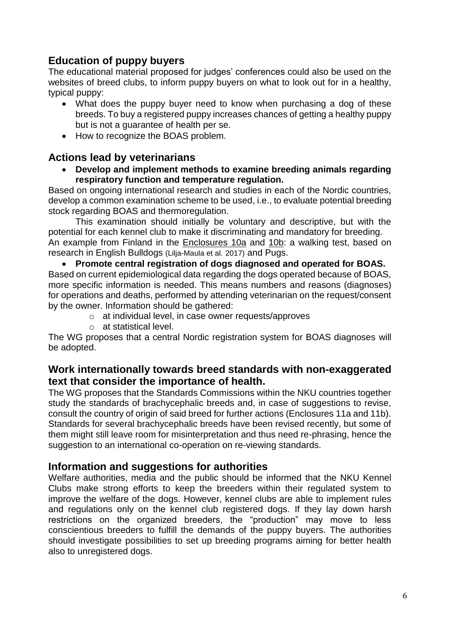## **Education of puppy buyers**

The educational material proposed for judges' conferences could also be used on the websites of breed clubs, to inform puppy buyers on what to look out for in a healthy, typical puppy:

- What does the puppy buyer need to know when purchasing a dog of these breeds. To buy a registered puppy increases chances of getting a healthy puppy but is not a guarantee of health per se.
- How to recognize the BOAS problem.

## **Actions lead by veterinarians**

 **Develop and implement methods to examine breeding animals regarding respiratory function and temperature regulation.**

Based on ongoing international research and studies in each of the Nordic countries, develop a common examination scheme to be used, i.e., to evaluate potential breeding stock regarding BOAS and thermoregulation.

This examination should initially be voluntary and descriptive, but with the potential for each kennel club to make it discriminating and mandatory for breeding. An example from Finland in the **Enclosures 10a and 10b**: a walking test, based on research in English Bulldogs (Lilja-Maula et al. 2017) and Pugs.

 **Promote central registration of dogs diagnosed and operated for BOAS.** Based on current epidemiological data regarding the dogs operated because of BOAS, more specific information is needed. This means numbers and reasons (diagnoses) for operations and deaths, performed by attending veterinarian on the request/consent by the owner. Information should be gathered:

- o at individual level, in case owner requests/approves
- o at statistical level.

The WG proposes that a central Nordic registration system for BOAS diagnoses will be adopted.

## **Work internationally towards breed standards with non-exaggerated text that consider the importance of health.**

The WG proposes that the Standards Commissions within the NKU countries together study the standards of brachycephalic breeds and, in case of suggestions to revise, consult the country of origin of said breed for further actions (Enclosures 11a and 11b). Standards for several brachycephalic breeds have been revised recently, but some of them might still leave room for misinterpretation and thus need re-phrasing, hence the suggestion to an international co-operation on re-viewing standards.

## **Information and suggestions for authorities**

Welfare authorities, media and the public should be informed that the NKU Kennel Clubs make strong efforts to keep the breeders within their regulated system to improve the welfare of the dogs. However, kennel clubs are able to implement rules and regulations only on the kennel club registered dogs. If they lay down harsh restrictions on the organized breeders, the "production" may move to less conscientious breeders to fulfill the demands of the puppy buyers. The authorities should investigate possibilities to set up breeding programs aiming for better health also to unregistered dogs.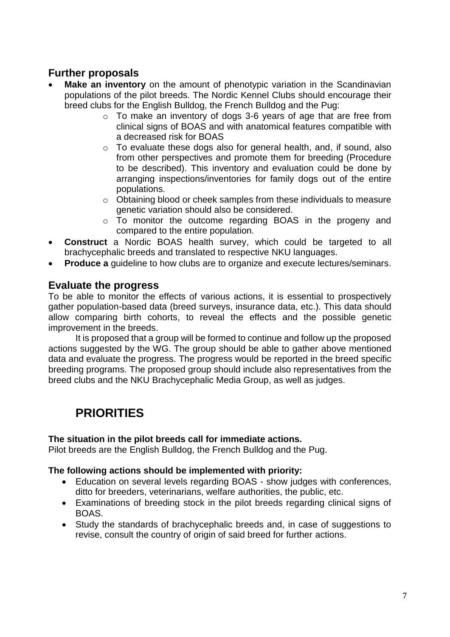## **Further proposals**

- **Make an inventory** on the amount of phenotypic variation in the Scandinavian populations of the pilot breeds. The Nordic Kennel Clubs should encourage their breed clubs for the English Bulldog, the French Bulldog and the Pug:
	- o To make an inventory of dogs 3-6 years of age that are free from clinical signs of BOAS and with anatomical features compatible with a decreased risk for BOAS
	- o To evaluate these dogs also for general health, and, if sound, also from other perspectives and promote them for breeding (Procedure to be described). This inventory and evaluation could be done by arranging inspections/inventories for family dogs out of the entire populations.
	- o Obtaining blood or cheek samples from these individuals to measure genetic variation should also be considered.
	- o To monitor the outcome regarding BOAS in the progeny and compared to the entire population.
- **Construct** a Nordic BOAS health survey, which could be targeted to all brachycephalic breeds and translated to respective NKU languages.
- **Produce a** guideline to how clubs are to organize and execute lectures/seminars.

## **Evaluate the progress**

To be able to monitor the effects of various actions, it is essential to prospectively gather population-based data (breed surveys, insurance data, etc.). This data should allow comparing birth cohorts, to reveal the effects and the possible genetic improvement in the breeds.

It is proposed that a group will be formed to continue and follow up the proposed actions suggested by the WG. The group should be able to gather above mentioned data and evaluate the progress. The progress would be reported in the breed specific breeding programs. The proposed group should include also representatives from the breed clubs and the NKU Brachycephalic Media Group, as well as judges.

# **PRIORITIES**

#### **The situation in the pilot breeds call for immediate actions.**

Pilot breeds are the English Bulldog, the French Bulldog and the Pug.

#### **The following actions should be implemented with priority:**

- Education on several levels regarding BOAS show judges with conferences, ditto for breeders, veterinarians, welfare authorities, the public, etc.
- Examinations of breeding stock in the pilot breeds regarding clinical signs of BOAS.
- Study the standards of brachycephalic breeds and, in case of suggestions to revise, consult the country of origin of said breed for further actions.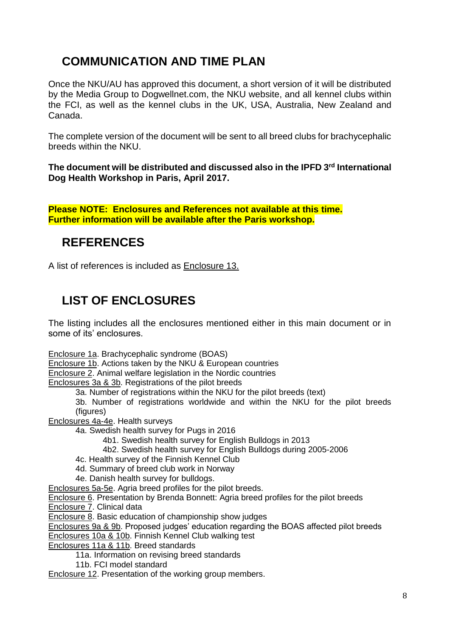# **COMMUNICATION AND TIME PLAN**

Once the NKU/AU has approved this document, a short version of it will be distributed by the Media Group to Dogwellnet.com, the NKU website, and all kennel clubs within the FCI, as well as the kennel clubs in the UK, USA, Australia, New Zealand and Canada.

The complete version of the document will be sent to all breed clubs for brachycephalic breeds within the NKU.

**The document will be distributed and discussed also in the IPFD 3rd International Dog Health Workshop in Paris, April 2017.**

**Please NOTE: Enclosures and References not available at this time. Further information will be available after the Paris workshop.**

## **REFERENCES**

A list of references is included as Enclosure 13.

# **LIST OF ENCLOSURES**

The listing includes all the enclosures mentioned either in this main document or in some of its' enclosures.

Enclosure 1a. Brachycephalic syndrome (BOAS)

Enclosure 1b. Actions taken by the NKU & European countries

Enclosure 2. Animal welfare legislation in the Nordic countries

Enclosures 3a & 3b. Registrations of the pilot breeds

3a. Number of registrations within the NKU for the pilot breeds (text)

3b. Number of registrations worldwide and within the NKU for the pilot breeds (figures)

Enclosures 4a-4e. Health surveys

4a. Swedish health survey for Pugs in 2016

- 4b1. Swedish health survey for English Bulldogs in 2013
- 4b2. Swedish health survey for English Bulldogs during 2005-2006
- 4c. Health survey of the Finnish Kennel Club
- 4d. Summary of breed club work in Norway
- 4e. Danish health survey for bulldogs.

Enclosures 5a-5e. Agria breed profiles for the pilot breeds.

Enclosure 6. Presentation by Brenda Bonnett: Agria breed profiles for the pilot breeds

Enclosure 7. Clinical data

Enclosure 8. Basic education of championship show judges

Enclosures 9a & 9b. Proposed judges' education regarding the BOAS affected pilot breeds

Enclosures 10a & 10b. Finnish Kennel Club walking test

Enclosures 11a & 11b. Breed standards

11a. Information on revising breed standards

11b. FCI model standard

Enclosure 12. Presentation of the working group members.